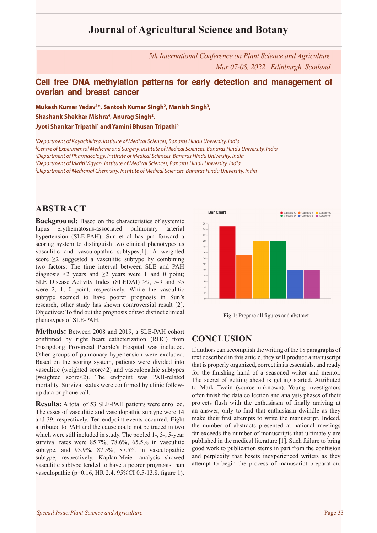# **Journal of Agricultural Science and Botany**

*5th International Conference on Plant Science and Agriculture Mar 07-08, 2022 | Edinburgh, Scotland*

### **Cell free DNA methylation patterns for early detection and management of ovarian and breast cancer**

**Mukesh Kumar Yadav1 \*, Santosh Kumar Singh2 , Manish Singh3 ,**  Shashank Shekhar Mishra<sup>4</sup>, Anurag Singh<sup>2</sup>, **Jyoti Shankar Tripathi1 and Yamini Bhusan Tripathi5**

 *Department of Kayachikitsa, Institute of Medical Sciences, Banaras Hindu University, India Centre of Experimental Medicine and Surgery, Institute of Medical Sciences, Banaras Hindu University, India Department of Pharmacology, Institute of Medical Sciences, Banaras Hindu University, India Department of Vikriti Vigyan, Institute of Medical Sciences, Banaras Hindu University, India Department of Medicinal Chemistry, Institute of Medical Sciences, Banaras Hindu University, India*

### **ABSTRACT**

**Background:** Based on the characteristics of systemic lupus erythematosus-associated pulmonary arterial hypertension (SLE-PAH), Sun et al has put forward a scoring system to distinguish two clinical phenotypes as vasculitic and vasculopathic subtypes[1]. A weighted score  $\geq$ 2 suggested a vasculitic subtype by combining two factors: The time interval between SLE and PAH diagnosis  $\leq 2$  years and  $\geq 2$  years were 1 and 0 point; SLE Disease Activity Index (SLEDAI) >9, 5-9 and <5 were 2, 1, 0 point, respectively. While the vasculitic subtype seemed to have poorer prognosis in Sun's research, other study has shown controversial result [2]. Objectives: To find out the prognosis of two distinct clinical phenotypes of SLE-PAH.

**Methods:** Between 2008 and 2019, a SLE-PAH cohort confirmed by right heart catheterization (RHC) from Guangdong Provincial People's Hospital was included. Other groups of pulmonary hypertension were excluded. Based on the scoring system, patients were divided into vasculitic (weighted score≥2) and vasculopathic subtypes (weighted score<2). The endpoint was PAH-related mortality. Survival status were confirmed by clinic followup data or phone call.

**Results:** A total of 53 SLE-PAH patients were enrolled. The cases of vasculitic and vasculopathic subtype were 14 and 39, respectively. Ten endpoint events occurred. Eight attributed to PAH and the cause could not be traced in two which were still included in study. The pooled 1-, 3-, 5-year survival rates were 85.7%, 78.6%, 65.5% in vasculitic subtype, and 93.9%, 87.5%, 87.5% in vasculopathic subtype, respectively. Kaplan-Meier analysis showed vasculitic subtype tended to have a poorer prognosis than vasculopathic (p=0.16, HR 2.4, 95%CI 0.5-13.8, figure 1).





### **CONCLUSION**

If authors can accomplish the writing of the 18 paragraphs of text described in this article, they will produce a manuscript that is properly organized, correct in its essentials, and ready for the finishing hand of a seasoned writer and mentor. The secret of getting ahead is getting started. Attributed to Mark Twain (source unknown). Young investigators often finish the data collection and analysis phases of their projects flush with the enthusiasm of finally arriving at an answer, only to find that enthusiasm dwindle as they make their first attempts to write the manuscript. Indeed, the number of abstracts presented at national meetings far exceeds the number of manuscripts that ultimately are published in the medical literature [1]. Such failure to bring good work to publication stems in part from the confusion and perplexity that besets inexperienced writers as they attempt to begin the process of manuscript preparation.